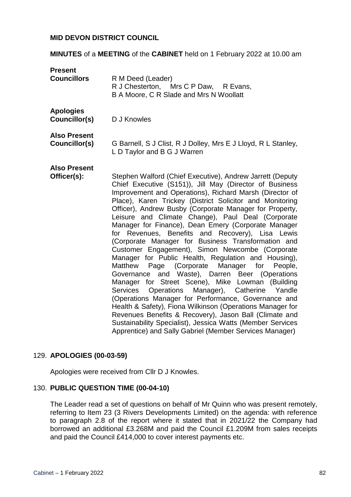#### **MID DEVON DISTRICT COUNCIL**

**MINUTES** of a **MEETING** of the **CABINET** held on 1 February 2022 at 10.00 am

| <b>Present</b><br><b>Councillors</b> | R M Deed (Leader)<br>R J Chesterton, Mrs C P Daw, R Evans,<br>B A Moore, C R Slade and Mrs N Woollatt                                                                                                                                                                                                                                                                                                                                                                                                                                                                                                                                                                                                                                                                                                                                                                                                                                                                                                                                                                                                                                                                             |
|--------------------------------------|-----------------------------------------------------------------------------------------------------------------------------------------------------------------------------------------------------------------------------------------------------------------------------------------------------------------------------------------------------------------------------------------------------------------------------------------------------------------------------------------------------------------------------------------------------------------------------------------------------------------------------------------------------------------------------------------------------------------------------------------------------------------------------------------------------------------------------------------------------------------------------------------------------------------------------------------------------------------------------------------------------------------------------------------------------------------------------------------------------------------------------------------------------------------------------------|
| <b>Apologies</b><br>Councillor(s)    | D J Knowles                                                                                                                                                                                                                                                                                                                                                                                                                                                                                                                                                                                                                                                                                                                                                                                                                                                                                                                                                                                                                                                                                                                                                                       |
| <b>Also Present</b><br>Councillor(s) | G Barnell, S J Clist, R J Dolley, Mrs E J Lloyd, R L Stanley,<br>L D Taylor and B G J Warren                                                                                                                                                                                                                                                                                                                                                                                                                                                                                                                                                                                                                                                                                                                                                                                                                                                                                                                                                                                                                                                                                      |
| <b>Also Present</b><br>Officer(s):   | Stephen Walford (Chief Executive), Andrew Jarrett (Deputy<br>Chief Executive (S151)), Jill May (Director of Business<br>Improvement and Operations), Richard Marsh (Director of<br>Place), Karen Trickey (District Solicitor and Monitoring<br>Officer), Andrew Busby (Corporate Manager for Property,<br>Leisure and Climate Change), Paul Deal (Corporate<br>Manager for Finance), Dean Emery (Corporate Manager<br>for Revenues, Benefits and Recovery), Lisa Lewis<br>(Corporate Manager for Business Transformation and<br>Customer Engagement), Simon Newcombe (Corporate<br>Manager for Public Health, Regulation and Housing),<br>Page (Corporate<br>Manager for<br><b>Matthew</b><br>People,<br>and Waste), Darren Beer (Operations<br>Governance<br>Manager for Street Scene), Mike Lowman (Building<br>Operations Manager), Catherine Yandle<br><b>Services</b><br>(Operations Manager for Performance, Governance and<br>Health & Safety), Fiona Wilkinson (Operations Manager for<br>Revenues Benefits & Recovery), Jason Ball (Climate and<br>Sustainability Specialist), Jessica Watts (Member Services<br>Apprentice) and Sally Gabriel (Member Services Manager) |

#### 129. **APOLOGIES (00-03-59)**

Apologies were received from Cllr D J Knowles.

#### 130. **PUBLIC QUESTION TIME (00-04-10)**

The Leader read a set of questions on behalf of Mr Quinn who was present remotely, referring to Item 23 (3 Rivers Developments Limited) on the agenda: with reference to paragraph 2.8 of the report where it stated that in 2021/22 the Company had borrowed an additional £3.268M and paid the Council £1.209M from sales receipts and paid the Council £414,000 to cover interest payments etc.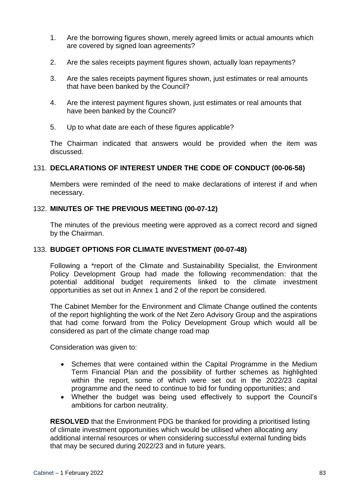- 1. Are the borrowing figures shown, merely agreed limits or actual amounts which are covered by signed loan agreements?
- 2. Are the sales receipts payment figures shown, actually loan repayments?
- 3. Are the sales receipts payment figures shown, just estimates or real amounts that have been banked by the Council?
- 4. Are the interest payment figures shown, just estimates or real amounts that have been banked by the Council?
- 5. Up to what date are each of these figures applicable?

The Chairman indicated that answers would be provided when the item was discussed.

### 131. **DECLARATIONS OF INTEREST UNDER THE CODE OF CONDUCT (00-06-58)**

Members were reminded of the need to make declarations of interest if and when necessary.

#### 132. **MINUTES OF THE PREVIOUS MEETING (00-07-12)**

The minutes of the previous meeting were approved as a correct record and signed by the Chairman.

#### 133. **BUDGET OPTIONS FOR CLIMATE INVESTMENT (00-07-48)**

Following a \*report of the Climate and Sustainability Specialist, the Environment Policy Development Group had made the following recommendation: that the potential additional budget requirements linked to the climate investment opportunities as set out in Annex 1 and 2 of the report be considered.

The Cabinet Member for the Environment and Climate Change outlined the contents of the report highlighting the work of the Net Zero Advisory Group and the aspirations that had come forward from the Policy Development Group which would all be considered as part of the climate change road map

Consideration was given to:

- Schemes that were contained within the Capital Programme in the Medium Term Financial Plan and the possibility of further schemes as highlighted within the report, some of which were set out in the 2022/23 capital programme and the need to continue to bid for funding opportunities; and
- Whether the budget was being used effectively to support the Council's ambitions for carbon neutrality.

**RESOLVED** that the Environment PDG be thanked for providing a prioritised listing of climate investment opportunities which would be utilised when allocating any additional internal resources or when considering successful external funding bids that may be secured during 2022/23 and in future years.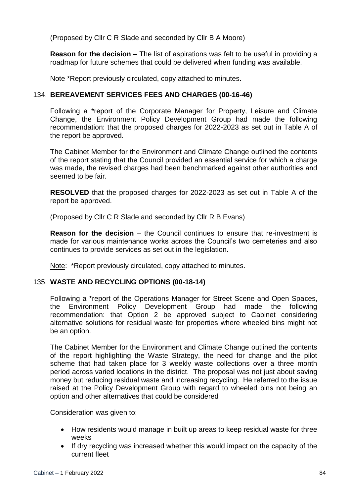(Proposed by Cllr C R Slade and seconded by Cllr B A Moore)

**Reason for the decision –** The list of aspirations was felt to be useful in providing a roadmap for future schemes that could be delivered when funding was available.

Note \*Report previously circulated, copy attached to minutes.

## 134. **BEREAVEMENT SERVICES FEES AND CHARGES (00-16-46)**

Following a \*report of the Corporate Manager for Property, Leisure and Climate Change, the Environment Policy Development Group had made the following recommendation: that the proposed charges for 2022-2023 as set out in Table A of the report be approved.

The Cabinet Member for the Environment and Climate Change outlined the contents of the report stating that the Council provided an essential service for which a charge was made, the revised charges had been benchmarked against other authorities and seemed to be fair.

**RESOLVED** that the proposed charges for 2022-2023 as set out in Table A of the report be approved.

(Proposed by Cllr C R Slade and seconded by Cllr R B Evans)

**Reason for the decision** – the Council continues to ensure that re-investment is made for various maintenance works across the Council's two cemeteries and also continues to provide services as set out in the legislation.

Note: \*Report previously circulated, copy attached to minutes.

### 135. **WASTE AND RECYCLING OPTIONS (00-18-14)**

Following a \*report of the Operations Manager for Street Scene and Open Spaces, the Environment Policy Development Group had made the following recommendation: that Option 2 be approved subject to Cabinet considering alternative solutions for residual waste for properties where wheeled bins might not be an option.

The Cabinet Member for the Environment and Climate Change outlined the contents of the report highlighting the Waste Strategy, the need for change and the pilot scheme that had taken place for 3 weekly waste collections over a three month period across varied locations in the district. The proposal was not just about saving money but reducing residual waste and increasing recycling. He referred to the issue raised at the Policy Development Group with regard to wheeled bins not being an option and other alternatives that could be considered

Consideration was given to:

- How residents would manage in built up areas to keep residual waste for three weeks
- If dry recycling was increased whether this would impact on the capacity of the current fleet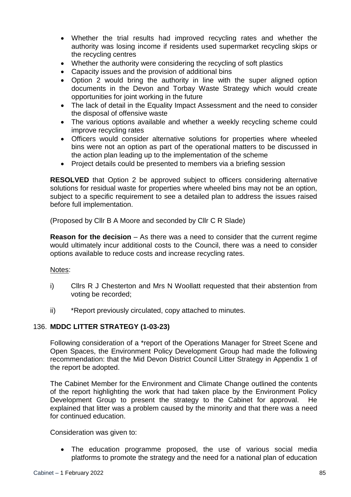- Whether the trial results had improved recycling rates and whether the authority was losing income if residents used supermarket recycling skips or the recycling centres
- Whether the authority were considering the recycling of soft plastics
- Capacity issues and the provision of additional bins
- Option 2 would bring the authority in line with the super aligned option documents in the Devon and Torbay Waste Strategy which would create opportunities for joint working in the future
- The lack of detail in the Equality Impact Assessment and the need to consider the disposal of offensive waste
- The various options available and whether a weekly recycling scheme could improve recycling rates
- Officers would consider alternative solutions for properties where wheeled bins were not an option as part of the operational matters to be discussed in the action plan leading up to the implementation of the scheme
- Project details could be presented to members via a briefing session

**RESOLVED** that Option 2 be approved subject to officers considering alternative solutions for residual waste for properties where wheeled bins may not be an option, subject to a specific requirement to see a detailed plan to address the issues raised before full implementation.

(Proposed by Cllr B A Moore and seconded by Cllr C R Slade)

**Reason for the decision** – As there was a need to consider that the current regime would ultimately incur additional costs to the Council, there was a need to consider options available to reduce costs and increase recycling rates.

### Notes:

- i) Cllrs R J Chesterton and Mrs N Woollatt requested that their abstention from voting be recorded;
- ii) \*Report previously circulated, copy attached to minutes.

# 136. **MDDC LITTER STRATEGY (1-03-23)**

Following consideration of a \*report of the Operations Manager for Street Scene and Open Spaces, the Environment Policy Development Group had made the following recommendation: that the Mid Devon District Council Litter Strategy in Appendix 1 of the report be adopted.

The Cabinet Member for the Environment and Climate Change outlined the contents of the report highlighting the work that had taken place by the Environment Policy Development Group to present the strategy to the Cabinet for approval. He explained that litter was a problem caused by the minority and that there was a need for continued education.

Consideration was given to:

 The education programme proposed, the use of various social media platforms to promote the strategy and the need for a national plan of education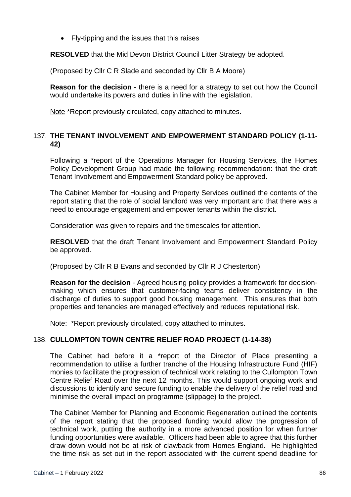• Fly-tipping and the issues that this raises

**RESOLVED** that the Mid Devon District Council Litter Strategy be adopted.

(Proposed by Cllr C R Slade and seconded by Cllr B A Moore)

**Reason for the decision -** there is a need for a strategy to set out how the Council would undertake its powers and duties in line with the legislation.

Note \*Report previously circulated, copy attached to minutes.

## 137. **THE TENANT INVOLVEMENT AND EMPOWERMENT STANDARD POLICY (1-11- 42)**

Following a \*report of the Operations Manager for Housing Services, the Homes Policy Development Group had made the following recommendation: that the draft Tenant Involvement and Empowerment Standard policy be approved.

The Cabinet Member for Housing and Property Services outlined the contents of the report stating that the role of social landlord was very important and that there was a need to encourage engagement and empower tenants within the district.

Consideration was given to repairs and the timescales for attention.

**RESOLVED** that the draft Tenant Involvement and Empowerment Standard Policy be approved.

(Proposed by Cllr R B Evans and seconded by Cllr R J Chesterton)

**Reason for the decision** - Agreed housing policy provides a framework for decisionmaking which ensures that customer-facing teams deliver consistency in the discharge of duties to support good housing management. This ensures that both properties and tenancies are managed effectively and reduces reputational risk.

Note: \*Report previously circulated, copy attached to minutes.

# 138. **CULLOMPTON TOWN CENTRE RELIEF ROAD PROJECT (1-14-38)**

The Cabinet had before it a \*report of the Director of Place presenting a recommendation to utilise a further tranche of the Housing Infrastructure Fund (HIF) monies to facilitate the progression of technical work relating to the Cullompton Town Centre Relief Road over the next 12 months. This would support ongoing work and discussions to identify and secure funding to enable the delivery of the relief road and minimise the overall impact on programme (slippage) to the project.

The Cabinet Member for Planning and Economic Regeneration outlined the contents of the report stating that the proposed funding would allow the progression of technical work, putting the authority in a more advanced position for when further funding opportunities were available. Officers had been able to agree that this further draw down would not be at risk of clawback from Homes England. He highlighted the time risk as set out in the report associated with the current spend deadline for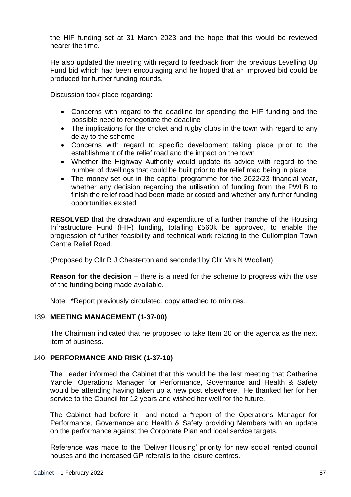the HIF funding set at 31 March 2023 and the hope that this would be reviewed nearer the time.

He also updated the meeting with regard to feedback from the previous Levelling Up Fund bid which had been encouraging and he hoped that an improved bid could be produced for further funding rounds.

Discussion took place regarding:

- Concerns with regard to the deadline for spending the HIF funding and the possible need to renegotiate the deadline
- The implications for the cricket and rugby clubs in the town with regard to any delay to the scheme
- Concerns with regard to specific development taking place prior to the establishment of the relief road and the impact on the town
- Whether the Highway Authority would update its advice with regard to the number of dwellings that could be built prior to the relief road being in place
- The money set out in the capital programme for the 2022/23 financial year, whether any decision regarding the utilisation of funding from the PWLB to finish the relief road had been made or costed and whether any further funding opportunities existed

**RESOLVED** that the drawdown and expenditure of a further tranche of the Housing Infrastructure Fund (HIF) funding, totalling £560k be approved, to enable the progression of further feasibility and technical work relating to the Cullompton Town Centre Relief Road.

(Proposed by Cllr R J Chesterton and seconded by Cllr Mrs N Woollatt)

**Reason for the decision** – there is a need for the scheme to progress with the use of the funding being made available.

Note: \*Report previously circulated, copy attached to minutes.

### 139. **MEETING MANAGEMENT (1-37-00)**

The Chairman indicated that he proposed to take Item 20 on the agenda as the next item of business.

### 140. **PERFORMANCE AND RISK (1-37-10)**

The Leader informed the Cabinet that this would be the last meeting that Catherine Yandle, Operations Manager for Performance, Governance and Health & Safety would be attending having taken up a new post elsewhere. He thanked her for her service to the Council for 12 years and wished her well for the future.

The Cabinet had before it and noted a \*report of the Operations Manager for Performance, Governance and Health & Safety providing Members with an update on the performance against the Corporate Plan and local service targets.

Reference was made to the 'Deliver Housing' priority for new social rented council houses and the increased GP referalls to the leisure centres.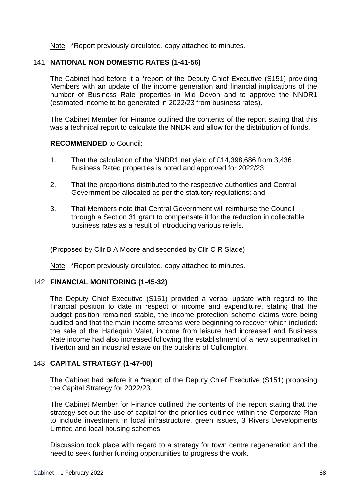Note: \*Report previously circulated, copy attached to minutes.

### 141. **NATIONAL NON DOMESTIC RATES (1-41-56)**

The Cabinet had before it a \*report of the Deputy Chief Executive (S151) providing Members with an update of the income generation and financial implications of the number of Business Rate properties in Mid Devon and to approve the NNDR1 (estimated income to be generated in 2022/23 from business rates).

The Cabinet Member for Finance outlined the contents of the report stating that this was a technical report to calculate the NNDR and allow for the distribution of funds.

### **RECOMMENDED** to Council:

- 1. That the calculation of the NNDR1 net yield of £14,398,686 from 3,436 Business Rated properties is noted and approved for 2022/23;
- 2. That the proportions distributed to the respective authorities and Central Government be allocated as per the statutory regulations; and
- 3. That Members note that Central Government will reimburse the Council through a Section 31 grant to compensate it for the reduction in collectable business rates as a result of introducing various reliefs.

(Proposed by Cllr B A Moore and seconded by Cllr C R Slade)

Note: \*Report previously circulated, copy attached to minutes.

### 142. **FINANCIAL MONITORING (1-45-32)**

The Deputy Chief Executive (S151) provided a verbal update with regard to the financial position to date in respect of income and expenditure, stating that the budget position remained stable, the income protection scheme claims were being audited and that the main income streams were beginning to recover which included: the sale of the Harlequin Valet, income from leisure had increased and Business Rate income had also increased following the establishment of a new supermarket in Tiverton and an industrial estate on the outskirts of Cullompton.

### 143. **CAPITAL STRATEGY (1-47-00)**

The Cabinet had before it a \*report of the Deputy Chief Executive (S151) proposing the Capital Strategy for 2022/23.

The Cabinet Member for Finance outlined the contents of the report stating that the strategy set out the use of capital for the priorities outlined within the Corporate Plan to include investment in local infrastructure, green issues, 3 Rivers Developments Limited and local housing schemes.

Discussion took place with regard to a strategy for town centre regeneration and the need to seek further funding opportunities to progress the work.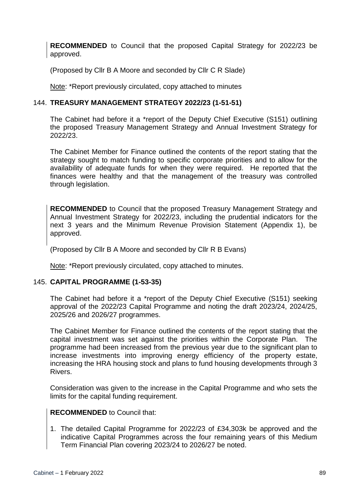**RECOMMENDED** to Council that the proposed Capital Strategy for 2022/23 be approved.

(Proposed by Cllr B A Moore and seconded by Cllr C R Slade)

Note: \*Report previously circulated, copy attached to minutes

## 144. **TREASURY MANAGEMENT STRATEGY 2022/23 (1-51-51)**

The Cabinet had before it a \*report of the Deputy Chief Executive (S151) outlining the proposed Treasury Management Strategy and Annual Investment Strategy for 2022/23.

The Cabinet Member for Finance outlined the contents of the report stating that the strategy sought to match funding to specific corporate priorities and to allow for the availability of adequate funds for when they were required. He reported that the finances were healthy and that the management of the treasury was controlled through legislation.

**RECOMMENDED** to Council that the proposed Treasury Management Strategy and Annual Investment Strategy for 2022/23, including the prudential indicators for the next 3 years and the Minimum Revenue Provision Statement (Appendix 1), be approved.

(Proposed by Cllr B A Moore and seconded by Cllr R B Evans)

Note: \*Report previously circulated, copy attached to minutes.

### 145. **CAPITAL PROGRAMME (1-53-35)**

The Cabinet had before it a \*report of the Deputy Chief Executive (S151) seeking approval of the 2022/23 Capital Programme and noting the draft 2023/24, 2024/25, 2025/26 and 2026/27 programmes.

The Cabinet Member for Finance outlined the contents of the report stating that the capital investment was set against the priorities within the Corporate Plan. The programme had been increased from the previous year due to the significant plan to increase investments into improving energy efficiency of the property estate, increasing the HRA housing stock and plans to fund housing developments through 3 Rivers.

Consideration was given to the increase in the Capital Programme and who sets the limits for the capital funding requirement.

### **RECOMMENDED** to Council that:

1. The detailed Capital Programme for 2022/23 of £34,303k be approved and the indicative Capital Programmes across the four remaining years of this Medium Term Financial Plan covering 2023/24 to 2026/27 be noted.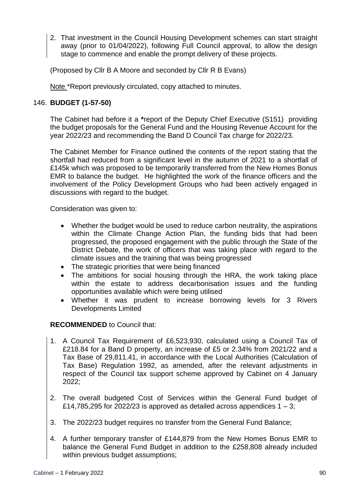2. That investment in the Council Housing Development schemes can start straight away (prior to 01/04/2022), following Full Council approval, to allow the design stage to commence and enable the prompt delivery of these projects.

(Proposed by Cllr B A Moore and seconded by Cllr R B Evans)

Note \*Report previously circulated, copy attached to minutes.

# 146. **BUDGET (1-57-50)**

The Cabinet had before it a **\***report of the Deputy Chief Executive (S151) providing the budget proposals for the General Fund and the Housing Revenue Account for the year 2022/23 and recommending the Band D Council Tax charge for 2022/23.

The Cabinet Member for Finance outlined the contents of the report stating that the shortfall had reduced from a significant level in the autumn of 2021 to a shortfall of £145k which was proposed to be temporarily transferred from the New Homes Bonus EMR to balance the budget. He highlighted the work of the finance officers and the involvement of the Policy Development Groups who had been actively engaged in discussions with regard to the budget.

Consideration was given to:

- Whether the budget would be used to reduce carbon neutrality, the aspirations within the Climate Change Action Plan, the funding bids that had been progressed, the proposed engagement with the public through the State of the District Debate, the work of officers that was taking place with regard to the climate issues and the training that was being progressed
- The strategic priorities that were being financed
- The ambitions for social housing through the HRA, the work taking place within the estate to address decarbonisation issues and the funding opportunities available which were being utilised
- Whether it was prudent to increase borrowing levels for 3 Rivers Developments Limited

# **RECOMMENDED** to Council that:

- 1. A Council Tax Requirement of £6,523,930, calculated using a Council Tax of £218.84 for a Band D property, an increase of £5 or 2.34% from 2021/22 and a Tax Base of 29,811.41, in accordance with the Local Authorities (Calculation of Tax Base) Regulation 1992, as amended, after the relevant adjustments in respect of the Council tax support scheme approved by Cabinet on 4 January 2022;
- 2. The overall budgeted Cost of Services within the General Fund budget of £14,785,295 for 2022/23 is approved as detailed across appendices  $1 - 3$ ;
- 3. The 2022/23 budget requires no transfer from the General Fund Balance;
- 4. A further temporary transfer of £144,879 from the New Homes Bonus EMR to balance the General Fund Budget in addition to the £258,808 already included within previous budget assumptions;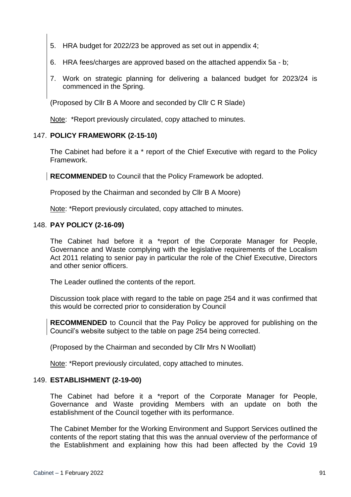- 5. HRA budget for 2022/23 be approved as set out in appendix 4;
- 6. HRA fees/charges are approved based on the attached appendix 5a b;
- 7. Work on strategic planning for delivering a balanced budget for 2023/24 is commenced in the Spring.

(Proposed by Cllr B A Moore and seconded by Cllr C R Slade)

Note: \*Report previously circulated, copy attached to minutes.

#### 147. **POLICY FRAMEWORK (2-15-10)**

The Cabinet had before it a \* report of the Chief Executive with regard to the Policy Framework.

**RECOMMENDED** to Council that the Policy Framework be adopted.

Proposed by the Chairman and seconded by Cllr B A Moore)

Note: \*Report previously circulated, copy attached to minutes.

#### 148. **PAY POLICY (2-16-09)**

The Cabinet had before it a \*report of the Corporate Manager for People, Governance and Waste complying with the legislative requirements of the Localism Act 2011 relating to senior pay in particular the role of the Chief Executive, Directors and other senior officers.

The Leader outlined the contents of the report.

Discussion took place with regard to the table on page 254 and it was confirmed that this would be corrected prior to consideration by Council

**RECOMMENDED** to Council that the Pay Policy be approved for publishing on the Council's website subject to the table on page 254 being corrected.

(Proposed by the Chairman and seconded by Cllr Mrs N Woollatt)

Note: \*Report previously circulated, copy attached to minutes.

#### 149. **ESTABLISHMENT (2-19-00)**

The Cabinet had before it a \*report of the Corporate Manager for People, Governance and Waste providing Members with an update on both the establishment of the Council together with its performance.

The Cabinet Member for the Working Environment and Support Services outlined the contents of the report stating that this was the annual overview of the performance of the Establishment and explaining how this had been affected by the Covid 19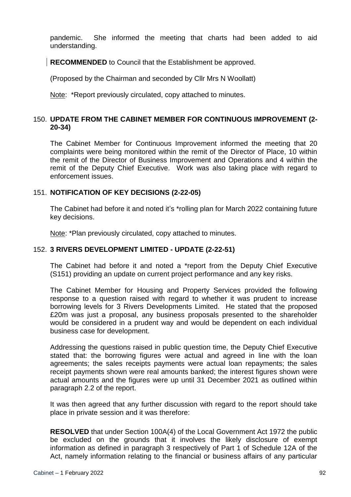pandemic. She informed the meeting that charts had been added to aid understanding.

**RECOMMENDED** to Council that the Establishment be approved.

(Proposed by the Chairman and seconded by Cllr Mrs N Woollatt)

Note: \*Report previously circulated, copy attached to minutes.

### 150. **UPDATE FROM THE CABINET MEMBER FOR CONTINUOUS IMPROVEMENT (2- 20-34)**

The Cabinet Member for Continuous Improvement informed the meeting that 20 complaints were being monitored within the remit of the Director of Place, 10 within the remit of the Director of Business Improvement and Operations and 4 within the remit of the Deputy Chief Executive. Work was also taking place with regard to enforcement issues.

### 151. **NOTIFICATION OF KEY DECISIONS (2-22-05)**

The Cabinet had before it and noted it's \*rolling plan for March 2022 containing future key decisions.

Note: \*Plan previously circulated, copy attached to minutes.

### 152. **3 RIVERS DEVELOPMENT LIMITED - UPDATE (2-22-51)**

The Cabinet had before it and noted a \*report from the Deputy Chief Executive (S151) providing an update on current project performance and any key risks.

The Cabinet Member for Housing and Property Services provided the following response to a question raised with regard to whether it was prudent to increase borrowing levels for 3 Rivers Developments Limited. He stated that the proposed £20m was just a proposal, any business proposals presented to the shareholder would be considered in a prudent way and would be dependent on each individual business case for development.

Addressing the questions raised in public question time, the Deputy Chief Executive stated that: the borrowing figures were actual and agreed in line with the loan agreements; the sales receipts payments were actual loan repayments; the sales receipt payments shown were real amounts banked; the interest figures shown were actual amounts and the figures were up until 31 December 2021 as outlined within paragraph 2.2 of the report.

It was then agreed that any further discussion with regard to the report should take place in private session and it was therefore:

**RESOLVED** that under Section 100A(4) of the Local Government Act 1972 the public be excluded on the grounds that it involves the likely disclosure of exempt information as defined in paragraph 3 respectively of Part 1 of Schedule 12A of the Act, namely information relating to the financial or business affairs of any particular